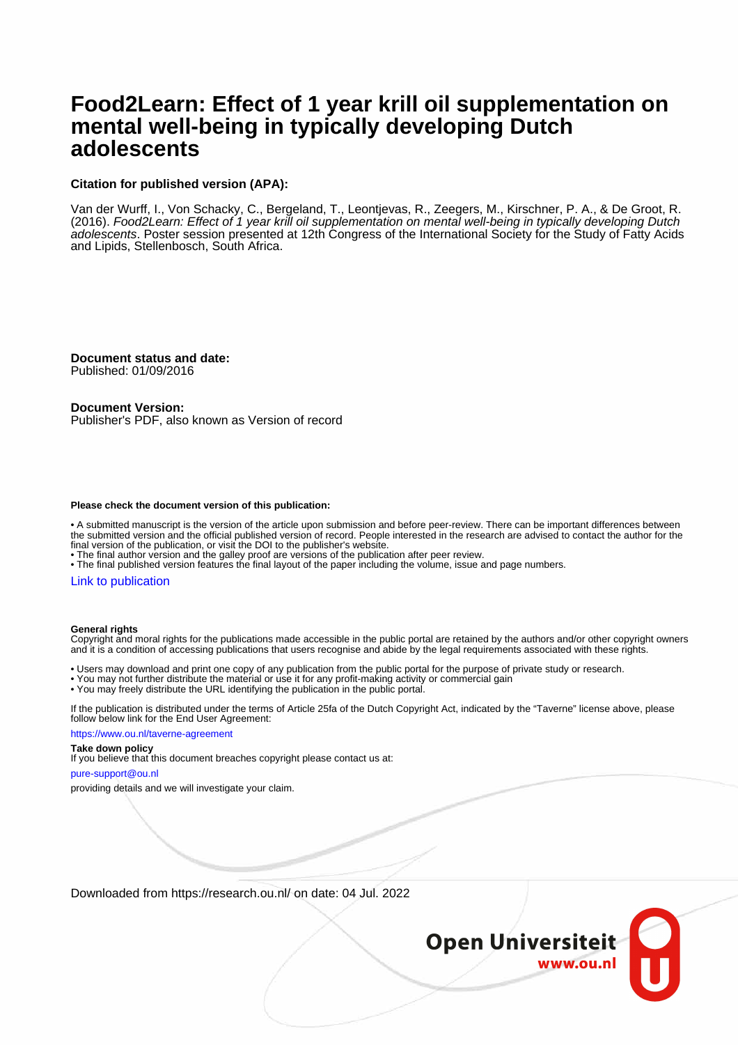### **Food2Learn: Effect of 1 year krill oil supplementation on mental well-being in typically developing Dutch adolescents**

### **Citation for published version (APA):**

Van der Wurff, I., Von Schacky, C., Bergeland, T., Leontjevas, R., Zeegers, M., Kirschner, P. A., & De Groot, R. (2016). Food2Learn: Effect of 1 year krill oil supplementation on mental well-being in typically developing Dutch adolescents. Poster session presented at 12th Congress of the International Society for the Study of Fatty Acids and Lipids, Stellenbosch, South Africa.

**Document status and date:** Published: 01/09/2016

**Document Version:**

Publisher's PDF, also known as Version of record

### **Please check the document version of this publication:**

• A submitted manuscript is the version of the article upon submission and before peer-review. There can be important differences between the submitted version and the official published version of record. People interested in the research are advised to contact the author for the final version of the publication, or visit the DOI to the publisher's website.

• The final author version and the galley proof are versions of the publication after peer review.

• The final published version features the final layout of the paper including the volume, issue and page numbers.

### [Link to publication](https://research.ou.nl/en/publications/e717d517-8a63-4e02-b1c6-312557b8722a)

#### **General rights**

Copyright and moral rights for the publications made accessible in the public portal are retained by the authors and/or other copyright owners and it is a condition of accessing publications that users recognise and abide by the legal requirements associated with these rights.

• Users may download and print one copy of any publication from the public portal for the purpose of private study or research.

- You may not further distribute the material or use it for any profit-making activity or commercial gain
- You may freely distribute the URL identifying the publication in the public portal.

If the publication is distributed under the terms of Article 25fa of the Dutch Copyright Act, indicated by the "Taverne" license above, please follow below link for the End User Agreement:

https://www.ou.nl/taverne-agreement

#### **Take down policy**

If you believe that this document breaches copyright please contact us at:

pure-support@ou.nl

providing details and we will investigate your claim.

Downloaded from https://research.ou.nl/ on date: 04 Jul. 2022